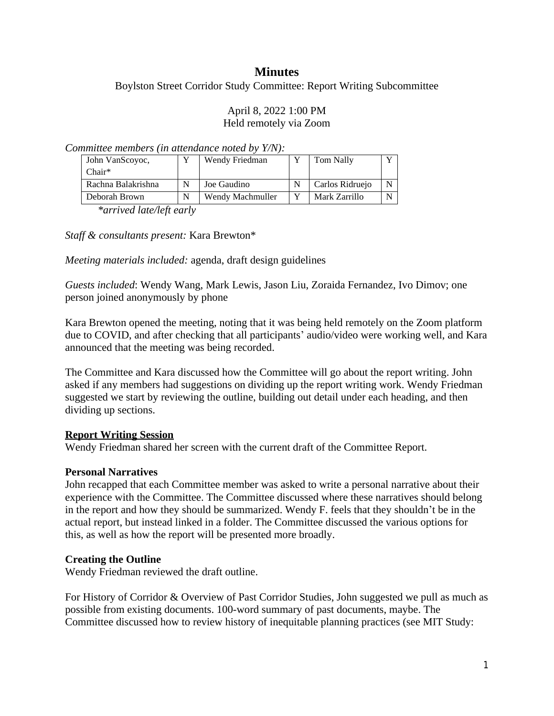# **Minutes**

Boylston Street Corridor Study Committee: Report Writing Subcommittee

#### April 8, 2022 1:00 PM Held remotely via Zoom

*Committee members (in attendance noted by Y/N):*

| John VanScoyoc,    | Wendy Friedman   | Tom Nally       |  |
|--------------------|------------------|-----------------|--|
| $Chair*$           |                  |                 |  |
| Rachna Balakrishna | Joe Gaudino      | Carlos Ridruejo |  |
| Deborah Brown      | Wendy Machmuller | Mark Zarrillo   |  |

*\*arrived late/left early*

*Staff & consultants present:* Kara Brewton\*

*Meeting materials included:* agenda, draft design guidelines

*Guests included*: Wendy Wang, Mark Lewis, Jason Liu, Zoraida Fernandez, Ivo Dimov; one person joined anonymously by phone

Kara Brewton opened the meeting, noting that it was being held remotely on the Zoom platform due to COVID, and after checking that all participants' audio/video were working well, and Kara announced that the meeting was being recorded.

The Committee and Kara discussed how the Committee will go about the report writing. John asked if any members had suggestions on dividing up the report writing work. Wendy Friedman suggested we start by reviewing the outline, building out detail under each heading, and then dividing up sections.

## **Report Writing Session**

Wendy Friedman shared her screen with the current draft of the Committee Report.

## **Personal Narratives**

John recapped that each Committee member was asked to write a personal narrative about their experience with the Committee. The Committee discussed where these narratives should belong in the report and how they should be summarized. Wendy F. feels that they shouldn't be in the actual report, but instead linked in a folder. The Committee discussed the various options for this, as well as how the report will be presented more broadly.

## **Creating the Outline**

Wendy Friedman reviewed the draft outline.

For History of Corridor & Overview of Past Corridor Studies, John suggested we pull as much as possible from existing documents. 100-word summary of past documents, maybe. The Committee discussed how to review history of inequitable planning practices (see MIT Study: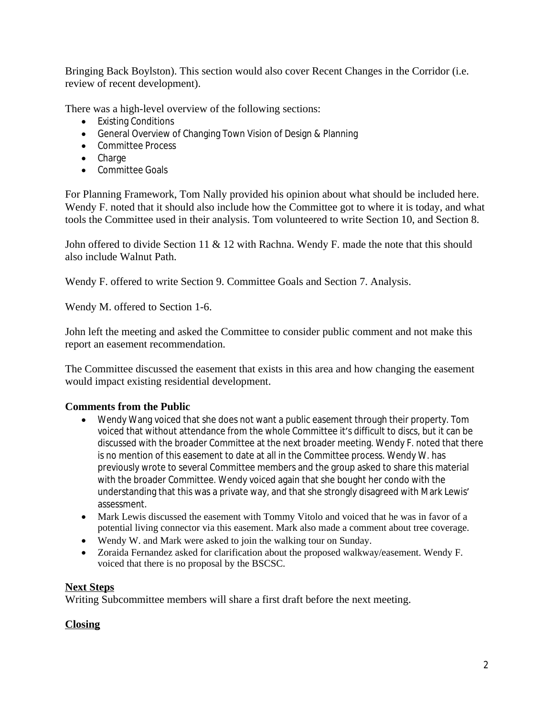Bringing Back Boylston). This section would also cover Recent Changes in the Corridor (i.e. review of recent development).

There was a high-level overview of the following sections:

- Existing Conditions
- General Overview of Changing Town Vision of Design & Planning
- Committee Process
- Charge
- Committee Goals

For Planning Framework, Tom Nally provided his opinion about what should be included here. Wendy F. noted that it should also include how the Committee got to where it is today, and what tools the Committee used in their analysis. Tom volunteered to write Section 10, and Section 8.

John offered to divide Section 11 & 12 with Rachna. Wendy F. made the note that this should also include Walnut Path.

Wendy F. offered to write Section 9. Committee Goals and Section 7. Analysis.

Wendy M. offered to Section 1-6.

John left the meeting and asked the Committee to consider public comment and not make this report an easement recommendation.

The Committee discussed the easement that exists in this area and how changing the easement would impact existing residential development.

## **Comments from the Public**

- Wendy Wang voiced that she does not want a public easement through their property. Tom voiced that without attendance from the whole Committee it's difficult to discs, but it can be discussed with the broader Committee at the next broader meeting. Wendy F. noted that there is no mention of this easement to date at all in the Committee process. Wendy W. has previously wrote to several Committee members and the group asked to share this material with the broader Committee. Wendy voiced again that she bought her condo with the understanding that this was a private way, and that she strongly disagreed with Mark Lewis' assessment.
- Mark Lewis discussed the easement with Tommy Vitolo and voiced that he was in favor of a potential living connector via this easement. Mark also made a comment about tree coverage.
- Wendy W. and Mark were asked to join the walking tour on Sunday.
- Zoraida Fernandez asked for clarification about the proposed walkway/easement. Wendy F. voiced that there is no proposal by the BSCSC.

## **Next Steps**

Writing Subcommittee members will share a first draft before the next meeting.

#### **Closing**